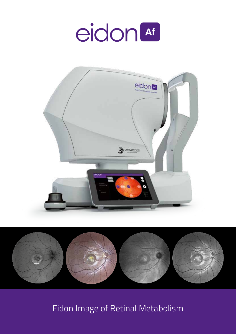# eidon<sup>at</sup>





Eidon Image of Retinal Metabolism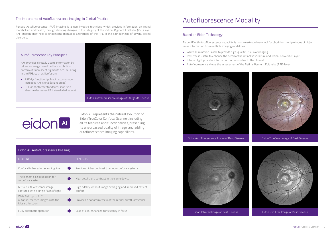### The importance of Autofluorescence Imaging in Clinical Practice

Fundus Autofluorescence (FAF) imaging is a non-invasive technique which provides information on retinal metabolism and health, through showing changes in the integrity of the Retinal Pigment Epithelial (RPE) layer. FAF imaging may help to understand metabolic alterations of the RPE in the pathogenesis of several retinal **Based on Eidon Technology**<br>disorders.

> Eidon AF with Autofluorescence capability is now an extraordinary tool for obtaining multiple types of highvalue information from multiple imaging modalities:

- White illumination is able to provide high-quality TrueColor imaging
- Red-free is useful to enhance the detail of the retinal vasculature and retinal nerve fiber layer
- Infrared light provides information corresponding to the choroid
- Autofluorescence allows the assessment of the Retinal Pigment Epithelial (RPE) layer



Eidon Autofluorescence Image of Best Disease Eidon TrueColor Image of Best Disease



Eidon Infrared Image of Best Disease





### Autofluorescence Modality

|  | Eidon AF Autofluorescence Imaging |  |
|--|-----------------------------------|--|
|  |                                   |  |

| <b>FEATURES</b>                                                              | <b>BENEFITS</b>                                                       |
|------------------------------------------------------------------------------|-----------------------------------------------------------------------|
| Confocality based on scanning line                                           | Provides higher contrast than non confocal systems                    |
| The highest pixel resolution for<br>a confocal system                        | High details and contrast in the same device                          |
| 60° auto-fluorescence image<br>captured with a single flash of light         | High fidelity without image averaging and improved patient<br>confort |
| Wide field up to 110°<br>autofluorescence images with the<br>Mosaic function | Provides a panoramic view of the retinal autofluorescence             |
| Fully automatic operation                                                    | Ease of use, enhanced consistency in focus                            |

#### Autofluorescence Key Principles

FAF provides clinically useful information by taking an image based on the distribution pattern of fluorescent pigments accumulating in the RPE, such as lipofuscin:

- RPE dysfunction: lipofuscin accumulation increases FAF signal (bright areas)
- RPE or photoreceptor death: lipofuscin absence decreases FAF signal (dark areas)



eidon<sup>4</sup>

Eidon AF represents the natural evolution of Eidon TrueColor Confocal Scanner, including all its features and functionalities, preserving its unsurpassed quality of image, and adding autofluorescence imaging capabilities.